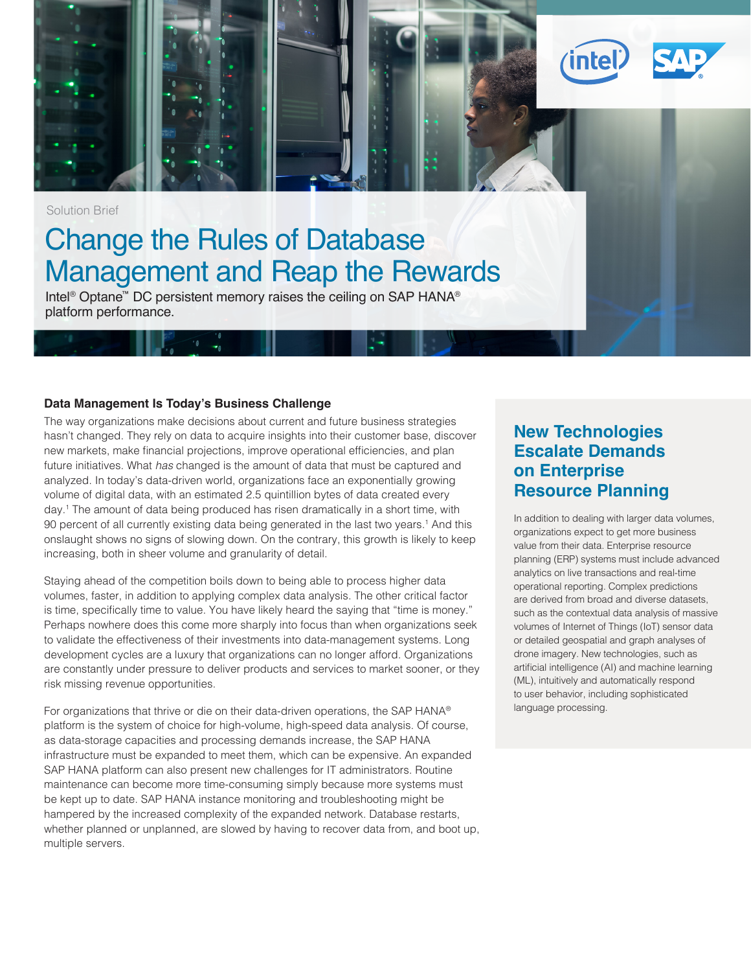

# Change the Rules of Database Management and Reap the Rewards

Intel<sup>®</sup> Optane<sup>™</sup> DC persistent memory raises the ceiling on SAP HANA® platform performance.

# **Data Management Is Today's Business Challenge**

The way organizations make decisions about current and future business strategies hasn't changed. They rely on data to acquire insights into their customer base, discover new markets, make financial projections, improve operational efficiencies, and plan future initiatives. What *has* changed is the amount of data that must be captured and analyzed. In today's data-driven world, organizations face an exponentially growing volume of digital data, with an estimated 2.5 quintillion bytes of data created every day.1 The amount of data being produced has risen dramatically in a short time, with 90 percent of all currently existing data being generated in the last two years.<sup>1</sup> And this onslaught shows no signs of slowing down. On the contrary, this growth is likely to keep increasing, both in sheer volume and granularity of detail.

Staying ahead of the competition boils down to being able to process higher data volumes, faster, in addition to applying complex data analysis. The other critical factor is time, specifically time to value. You have likely heard the saying that "time is money." Perhaps nowhere does this come more sharply into focus than when organizations seek to validate the effectiveness of their investments into data-management systems. Long development cycles are a luxury that organizations can no longer afford. Organizations are constantly under pressure to deliver products and services to market sooner, or they risk missing revenue opportunities.

For organizations that thrive or die on their data-driven operations, the SAP HANA® platform is the system of choice for high-volume, high-speed data analysis. Of course, as data-storage capacities and processing demands increase, the SAP HANA infrastructure must be expanded to meet them, which can be expensive. An expanded SAP HANA platform can also present new challenges for IT administrators. Routine maintenance can become more time-consuming simply because more systems must be kept up to date. SAP HANA instance monitoring and troubleshooting might be hampered by the increased complexity of the expanded network. Database restarts, whether planned or unplanned, are slowed by having to recover data from, and boot up, multiple servers.

# **New Technologies Escalate Demands on Enterprise Resource Planning**

In addition to dealing with larger data volumes, organizations expect to get more business value from their data. Enterprise resource planning (ERP) systems must include advanced analytics on live transactions and real-time operational reporting. Complex predictions are derived from broad and diverse datasets, such as the contextual data analysis of massive volumes of Internet of Things (IoT) sensor data or detailed geospatial and graph analyses of drone imagery. New technologies, such as artificial intelligence (AI) and machine learning (ML), intuitively and automatically respond to user behavior, including sophisticated language processing.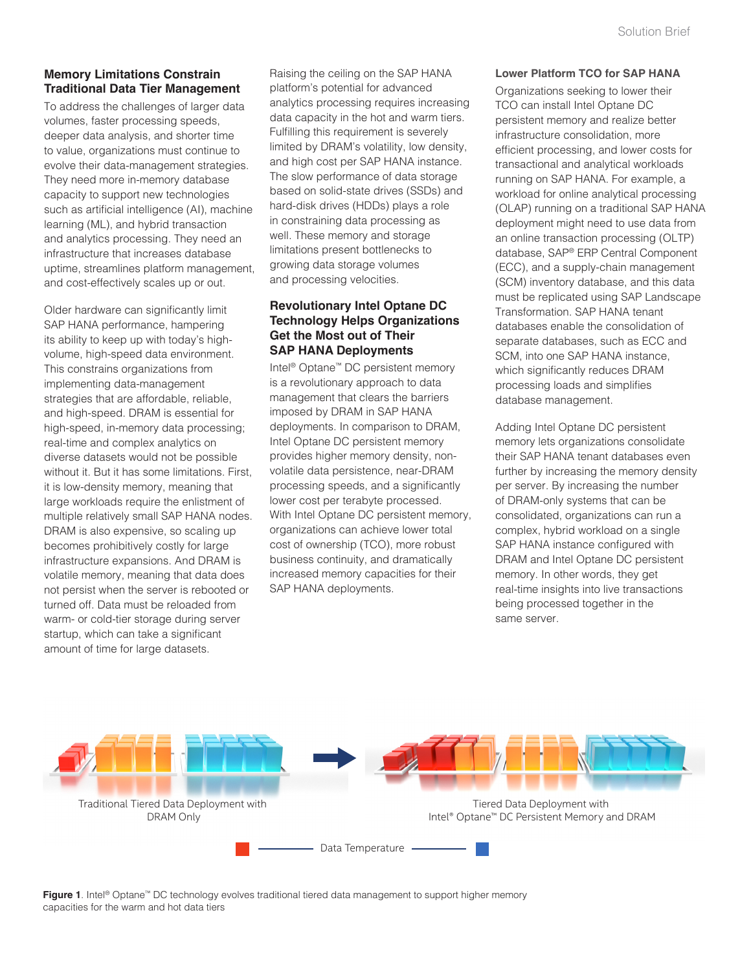# **Memory Limitations Constrain Traditional Data Tier Management**

To address the challenges of larger data volumes, faster processing speeds, deeper data analysis, and shorter time to value, organizations must continue to evolve their data-management strategies. They need more in-memory database capacity to support new technologies such as artificial intelligence (AI), machine learning (ML), and hybrid transaction and analytics processing. They need an infrastructure that increases database uptime, streamlines platform management, and cost-effectively scales up or out.

Older hardware can significantly limit SAP HANA performance, hampering its ability to keep up with today's highvolume, high-speed data environment. This constrains organizations from implementing data-management strategies that are affordable, reliable, and high-speed. DRAM is essential for high-speed, in-memory data processing; real-time and complex analytics on diverse datasets would not be possible without it. But it has some limitations. First, it is low-density memory, meaning that large workloads require the enlistment of multiple relatively small SAP HANA nodes. DRAM is also expensive, so scaling up becomes prohibitively costly for large infrastructure expansions. And DRAM is volatile memory, meaning that data does not persist when the server is rebooted or turned off. Data must be reloaded from warm- or cold-tier storage during server startup, which can take a significant amount of time for large datasets.

Raising the ceiling on the SAP HANA platform's potential for advanced analytics processing requires increasing data capacity in the hot and warm tiers. Fulfilling this requirement is severely limited by DRAM's volatility, low density, and high cost per SAP HANA instance. The slow performance of data storage based on solid-state drives (SSDs) and hard-disk drives (HDDs) plays a role in constraining data processing as well. These memory and storage limitations present bottlenecks to growing data storage volumes and processing velocities.

# **Revolutionary Intel Optane DC Technology Helps Organizations Get the Most out of Their SAP HANA Deployments**

Intel® Optane™ DC persistent memory is a revolutionary approach to data management that clears the barriers imposed by DRAM in SAP HANA deployments. In comparison to DRAM, Intel Optane DC persistent memory provides higher memory density, nonvolatile data persistence, near-DRAM processing speeds, and a significantly lower cost per terabyte processed. With Intel Optane DC persistent memory, organizations can achieve lower total cost of ownership (TCO), more robust business continuity, and dramatically increased memory capacities for their SAP HANA deployments.

#### **Lower Platform TCO for SAP HANA**

Organizations seeking to lower their TCO can install Intel Optane DC persistent memory and realize better infrastructure consolidation, more efficient processing, and lower costs for transactional and analytical workloads running on SAP HANA. For example, a workload for online analytical processing (OLAP) running on a traditional SAP HANA deployment might need to use data from an online transaction processing (OLTP) database, SAP® ERP Central Component (ECC), and a supply-chain management (SCM) inventory database, and this data must be replicated using SAP Landscape Transformation. SAP HANA tenant databases enable the consolidation of separate databases, such as ECC and SCM, into one SAP HANA instance, which significantly reduces DRAM processing loads and simplifies database management.

Adding Intel Optane DC persistent memory lets organizations consolidate their SAP HANA tenant databases even further by increasing the memory density per server. By increasing the number of DRAM-only systems that can be consolidated, organizations can run a complex, hybrid workload on a single SAP HANA instance configured with DRAM and Intel Optane DC persistent memory. In other words, they get real-time insights into live transactions being processed together in the same server.



**Figure 1**. Intel<sup>®</sup> Optane<sup>™</sup> DC technology evolves traditional tiered data management to support higher memory capacities for the warm and hot data tiers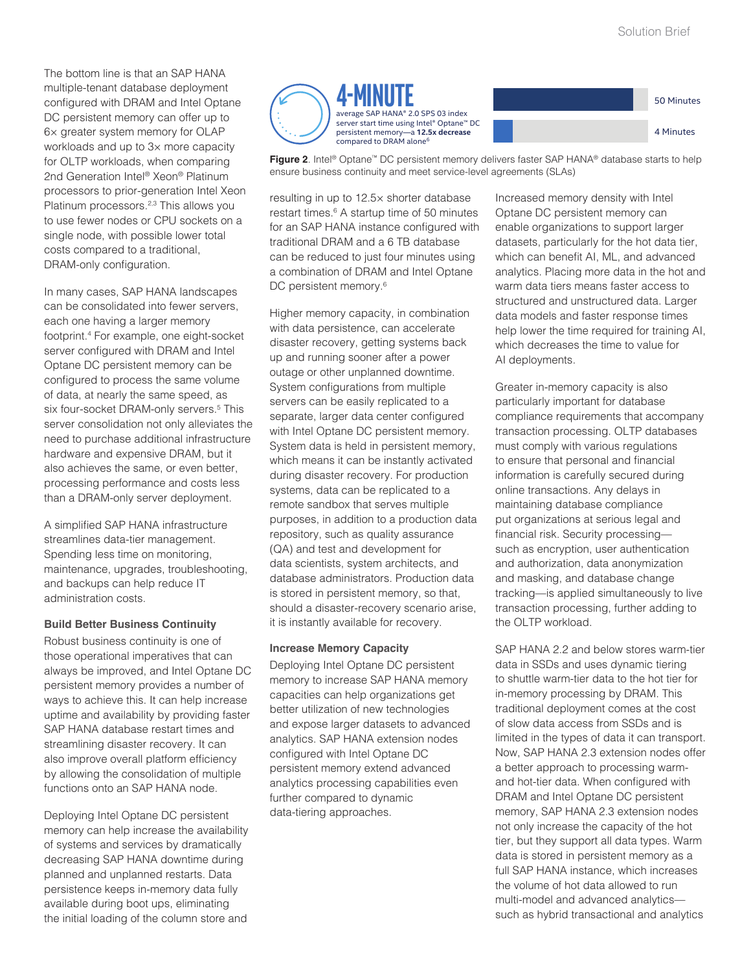4 Minutes

50 Minutes

The bottom line is that an SAP HANA multiple-tenant database deployment configured with DRAM and Intel Optane DC persistent memory can offer up to 6× greater system memory for OLAP workloads and up to 3× more capacity for OLTP workloads, when comparing 2nd Generation Intel® Xeon® Platinum processors to prior-generation Intel Xeon Platinum processors.2,3 This allows you to use fewer nodes or CPU sockets on a single node, with possible lower total costs compared to a traditional, DRAM-only configuration.

In many cases, SAP HANA landscapes can be consolidated into fewer servers, each one having a larger memory footprint.<sup>4</sup> For example, one eight-socket server configured with DRAM and Intel Optane DC persistent memory can be configured to process the same volume of data, at nearly the same speed, as six four-socket DRAM-only servers.<sup>5</sup> This server consolidation not only alleviates the need to purchase additional infrastructure hardware and expensive DRAM, but it also achieves the same, or even better, processing performance and costs less than a DRAM-only server deployment.

A simplified SAP HANA infrastructure streamlines data-tier management. Spending less time on monitoring, maintenance, upgrades, troubleshooting, and backups can help reduce IT administration costs.

#### **Build Better Business Continuity**

Robust business continuity is one of those operational imperatives that can always be improved, and Intel Optane DC persistent memory provides a number of ways to achieve this. It can help increase uptime and availability by providing faster SAP HANA database restart times and streamlining disaster recovery. It can also improve overall platform efficiency by allowing the consolidation of multiple functions onto an SAP HANA node.

Deploying Intel Optane DC persistent memory can help increase the availability of systems and services by dramatically decreasing SAP HANA downtime during planned and unplanned restarts. Data persistence keeps in-memory data fully available during boot ups, eliminating the initial loading of the column store and



**Figure 2**. Intel® Optane™ DC persistent memory delivers faster SAP HANA® database starts to help ensure business continuity and meet service-level agreements (SLAs)

resulting in up to 12.5× shorter database restart times.<sup>6</sup> A startup time of 50 minutes for an SAP HANA instance configured with traditional DRAM and a 6 TB database can be reduced to just four minutes using a combination of DRAM and Intel Optane DC persistent memory.<sup>6</sup>

Higher memory capacity, in combination with data persistence, can accelerate disaster recovery, getting systems back up and running sooner after a power outage or other unplanned downtime. System configurations from multiple servers can be easily replicated to a separate, larger data center configured with Intel Optane DC persistent memory. System data is held in persistent memory, which means it can be instantly activated during disaster recovery. For production systems, data can be replicated to a remote sandbox that serves multiple purposes, in addition to a production data repository, such as quality assurance (QA) and test and development for data scientists, system architects, and database administrators. Production data is stored in persistent memory, so that, should a disaster-recovery scenario arise, it is instantly available for recovery.

# **Increase Memory Capacity**

Deploying Intel Optane DC persistent memory to increase SAP HANA memory capacities can help organizations get better utilization of new technologies and expose larger datasets to advanced analytics. SAP HANA extension nodes configured with Intel Optane DC persistent memory extend advanced analytics processing capabilities even further compared to dynamic data-tiering approaches.

Increased memory density with Intel Optane DC persistent memory can enable organizations to support larger datasets, particularly for the hot data tier, which can benefit AI, ML, and advanced analytics. Placing more data in the hot and warm data tiers means faster access to structured and unstructured data. Larger data models and faster response times help lower the time required for training AI, which decreases the time to value for AI deployments.

Greater in-memory capacity is also particularly important for database compliance requirements that accompany transaction processing. OLTP databases must comply with various regulations to ensure that personal and financial information is carefully secured during online transactions. Any delays in maintaining database compliance put organizations at serious legal and financial risk. Security processing such as encryption, user authentication and authorization, data anonymization and masking, and database change tracking—is applied simultaneously to live transaction processing, further adding to the OLTP workload.

SAP HANA 2.2 and below stores warm-tier data in SSDs and uses dynamic tiering to shuttle warm-tier data to the hot tier for in-memory processing by DRAM. This traditional deployment comes at the cost of slow data access from SSDs and is limited in the types of data it can transport. Now, SAP HANA 2.3 extension nodes offer a better approach to processing warmand hot-tier data. When configured with DRAM and Intel Optane DC persistent memory, SAP HANA 2.3 extension nodes not only increase the capacity of the hot tier, but they support all data types. Warm data is stored in persistent memory as a full SAP HANA instance, which increases the volume of hot data allowed to run multi-model and advanced analytics such as hybrid transactional and analytics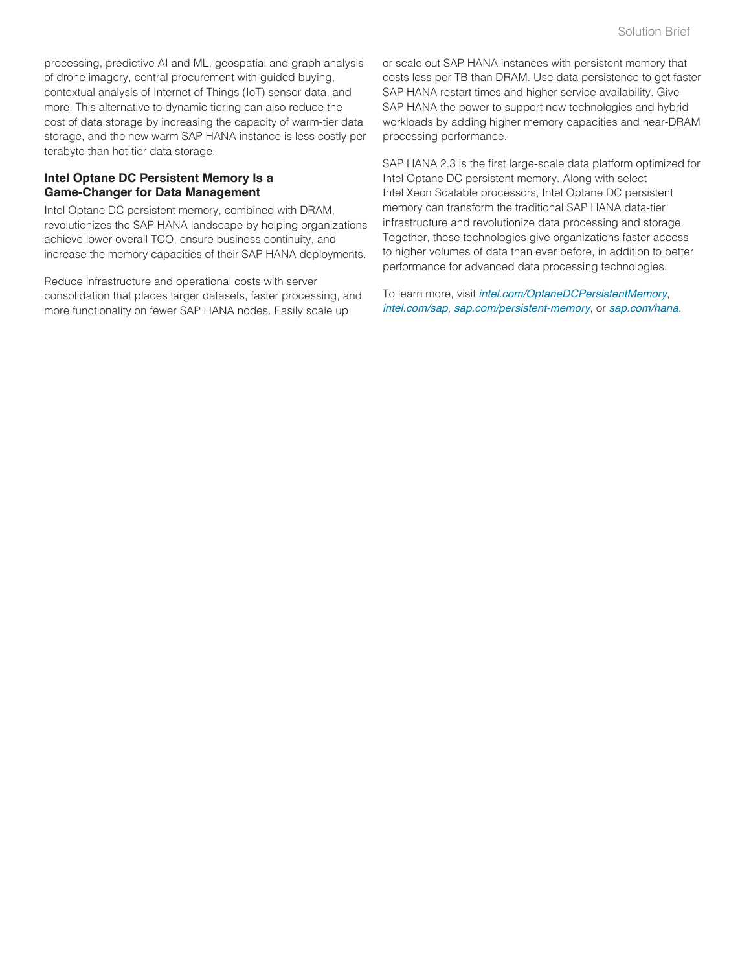processing, predictive AI and ML, geospatial and graph analysis of drone imagery, central procurement with guided buying, contextual analysis of Internet of Things (IoT) sensor data, and more. This alternative to dynamic tiering can also reduce the cost of data storage by increasing the capacity of warm-tier data storage, and the new warm SAP HANA instance is less costly per terabyte than hot-tier data storage.

# **Intel Optane DC Persistent Memory Is a Game-Changer for Data Management**

Intel Optane DC persistent memory, combined with DRAM, revolutionizes the SAP HANA landscape by helping organizations achieve lower overall TCO, ensure business continuity, and increase the memory capacities of their SAP HANA deployments.

Reduce infrastructure and operational costs with server consolidation that places larger datasets, faster processing, and more functionality on fewer SAP HANA nodes. Easily scale up

or scale out SAP HANA instances with persistent memory that costs less per TB than DRAM. Use data persistence to get faster SAP HANA restart times and higher service availability. Give SAP HANA the power to support new technologies and hybrid workloads by adding higher memory capacities and near-DRAM processing performance.

SAP HANA 2.3 is the first large-scale data platform optimized for Intel Optane DC persistent memory. Along with select Intel Xeon Scalable processors, Intel Optane DC persistent memory can transform the traditional SAP HANA data-tier infrastructure and revolutionize data processing and storage. Together, these technologies give organizations faster access to higher volumes of data than ever before, in addition to better performance for advanced data processing technologies.

To learn more, visit *[intel.com/OptaneDCPersistentMemory](http://intel.com/OptaneDCPersistentMemory)*, *[intel.com/sap](http://intel.com/sap)*, *[sap.com/persistent-memory](http://sap.com/persistent-memory)*, or *[sap.com/hana](http://sap.com/hana)*.